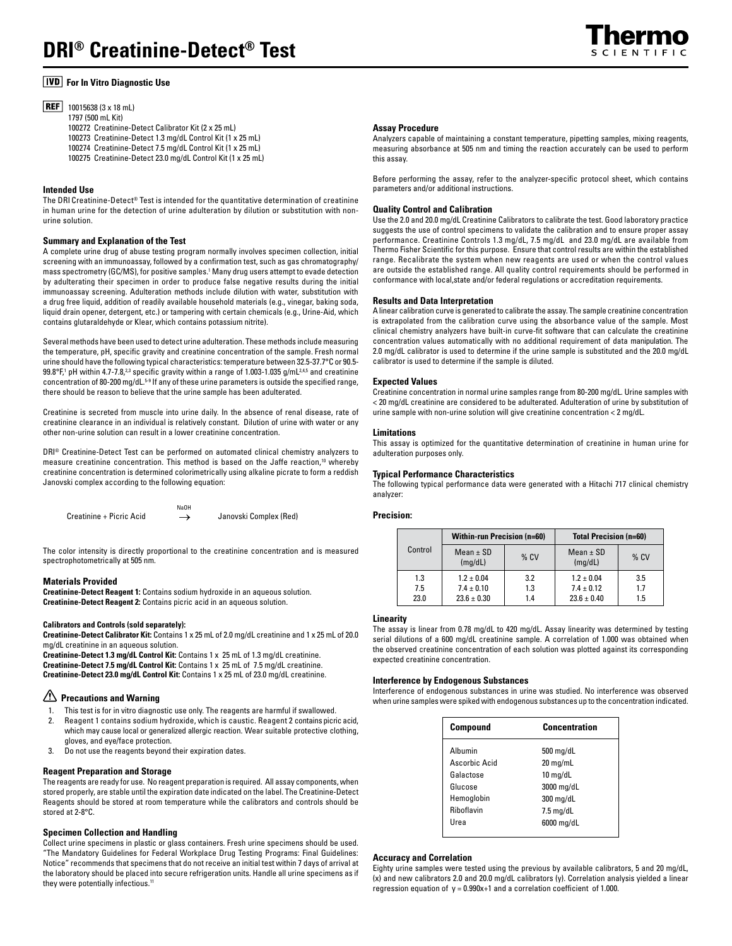

# **For In Vitro Diagnostic Use**

**REF** 10015638 (3 x 18 mL) 1797 (500 mL Kit) 100272 Creatinine-Detect Calibrator Kit (2 x 25 mL) 100273 Creatinine-Detect 1.3 mg/dL Control Kit (1 x 25 mL) 100274 Creatinine-Detect 7.5 mg/dL Control Kit (1 x 25 mL) 100275 Creatinine-Detect 23.0 mg/dL Control Kit (1 x 25 mL)

# **Intended Use**

The DRI Creatinine-Detect® Test is intended for the quantitative determination of creatinine in human urine for the detection of urine adulteration by dilution or substitution with nonurine solution.

## **Summary and Explanation of the Test**

A complete urine drug of abuse testing program normally involves specimen collection, initial screening with an immunoassay, followed by a confirmation test, such as gas chromatography/ mass spectrometry (GC/MS), for positive samples.1 Many drug users attempt to evade detection by adulterating their specimen in order to produce false negative results during the initial immunoassay screening. Adulteration methods include dilution with water, substitution with a drug free liquid, addition of readily available household materials (e.g., vinegar, baking soda, liquid drain opener, detergent, etc.) or tampering with certain chemicals (e.g., Urine-Aid, which contains glutaraldehyde or Klear, which contains potassium nitrite).

Several methods have been used to detect urine adulteration. These methods include measuring the temperature, pH, specific gravity and creatinine concentration of the sample. Fresh normal urine should have the following typical characteristics: temperature between 32.5-37.7°C or 90.5-  $99.8^{\circ}$ F,1 pH within 4.7-7.8, $^{23}$  specific gravity within a range of 1.003-1.035 g/mL $^{24.5}$  and creatinine concentration of 80-200 mg/dL.5-9 If any of these urine parameters is outside the specified range, there should be reason to believe that the urine sample has been adulterated.

Creatinine is secreted from muscle into urine daily. In the absence of renal disease, rate of creatinine clearance in an individual is relatively constant. Dilution of urine with water or any other non-urine solution can result in a lower creatinine concentration.

DRI® Creatinine-Detect Test can be performed on automated clinical chemistry analyzers to measure creatinine concentration. This method is based on the Jaffe reaction,<sup>10</sup> whereby creatinine concentration is determined colorimetrically using alkaline picrate to form a reddish Janovski complex according to the following equation:

Creatinine + Picric Acid  $\longrightarrow$  Janovski Complex (Red) NaOH ←

The color intensity is directly proportional to the creatinine concentration and is measured spectrophotometrically at 505 nm.

## **Materials Provided**

**Creatinine-Detect Reagent 1:** Contains sodium hydroxide in an aqueous solution. **Creatinine-Detect Reagent 2:** Contains picric acid in an aqueous solution.

## **Calibrators and Controls (sold separately):**

**Creatinine-Detect Calibrator Kit:** Contains 1 x 25 mL of 2.0 mg/dL creatinine and 1 x 25 mL of 20.0 mg/dL creatinine in an aqueous solution.

**Creatinine-Detect 1.3 mg/dL Control Kit:** Contains 1 x 25 mL of 1.3 mg/dL creatinine. **Creatinine-Detect 7.5 mg/dL Control Kit:** Contains 1 x 25 mL of 7.5 mg/dL creatinine. **Creatinine-Detect 23.0 mg/dL Control Kit:** Contains 1 x 25 mL of 23.0 mg/dL creatinine.

# **Precautions and Warning**

- 1. This test is for in vitro diagnostic use only. The reagents are harmful if swallowed.
- 2. Reagent 1 contains sodium hydroxide, which is caustic. Reagent 2 contains picric acid, which may cause local or generalized allergic reaction. Wear suitable protective clothing, gloves, and eye/face protection.
- Do not use the reagents beyond their expiration dates.

## **Reagent Preparation and Storage**

The reagents are ready for use. No reagent preparation is required. All assay components, when stored properly, are stable until the expiration date indicated on the label. The Creatinine-Detect Reagents should be stored at room temperature while the calibrators and controls should be stored at 2-8°C.

# **Specimen Collection and Handling**

Collect urine specimens in plastic or glass containers. Fresh urine specimens should be used. "The Mandatory Guidelines for Federal Workplace Drug Testing Programs: Final Guidelines: Notice" recommends that specimens that do not receive an initial test within 7 days of arrival at the laboratory should be placed into secure refrigeration units. Handle all urine specimens as if they were potentially infectious.<sup>11</sup>

#### **Assay Procedure**

Analyzers capable of maintaining a constant temperature, pipetting samples, mixing reagents, measuring absorbance at 505 nm and timing the reaction accurately can be used to perform this assay.

Before performing the assay, refer to the analyzer-specific protocol sheet, which contains parameters and/or additional instructions.

# **Quality Control and Calibration**

Use the 2.0 and 20.0 mg/dL Creatinine Calibrators to calibrate the test. Good laboratory practice suggests the use of control specimens to validate the calibration and to ensure proper assay performance. Creatinine Controls 1.3 mg/dL, 7.5 mg/dL and 23.0 mg/dL are available from Thermo Fisher Scientific for this purpose. Ensure that control results are within the established range. Recalibrate the system when new reagents are used or when the control values are outside the established range. All quality control requirements should be performed in conformance with local,state and/or federal regulations or accreditation requirements.

# **Results and Data Interpretation**

A linear calibration curve is generated to calibrate the assay. The sample creatinine concentration is extrapolated from the calibration curve using the absorbance value of the sample. Most clinical chemistry analyzers have built-in curve-fit software that can calculate the creatinine concentration values automatically with no additional requirement of data manipulation. The 2.0 mg/dL calibrator is used to determine if the urine sample is substituted and the 20.0 mg/dL calibrator is used to determine if the sample is diluted.

# **Expected Values**

Creatinine concentration in normal urine samples range from 80-200 mg/dL. Urine samples with < 20 mg/dL creatinine are considered to be adulterated. Adulteration of urine by substitution of urine sample with non-urine solution will give creatinine concentration < 2 mg/dL.

#### **Limitations**

This assay is optimized for the quantitative determination of creatinine in human urine for adulteration purposes only.

# **Typical Performance Characteristics**

The following typical performance data were generated with a Hitachi 717 clinical chemistry analyzer:

# **Precision:**

| Control | <b>Within-run Precision (n=60)</b> |        | <b>Total Precision (n=60)</b> |        |
|---------|------------------------------------|--------|-------------------------------|--------|
|         | Mean $\pm$ SD<br>(mq/dL)           | $%$ CV | $Mean \pm SD$<br>(mq/dL)      | $%$ CV |
| 1.3     | $1.2 \pm 0.04$                     | 3.2    | $1.2 \pm 0.04$                | 3.5    |
| 7.5     | $7.4 \pm 0.10$                     | 1.3    | $7.4 \pm 0.12$                | 1.7    |
| 23.0    | $23.6 \pm 0.30$                    | 1.4    | $23.6 \pm 0.40$               | 1.5    |

#### **Linearity**

The assay is linear from 0.78 mg/dL to 420 mg/dL. Assay linearity was determined by testing serial dilutions of a 600 mg/dL creatinine sample. A correlation of 1.000 was obtained when the observed creatinine concentration of each solution was plotted against its corresponding expected creatinine concentration.

# **Interference by Endogenous Substances**

Interference of endogenous substances in urine was studied. No interference was observed when urine samples were spiked with endogenous substances up to the concentration indicated.

| <b>Compound</b> | <b>Concentration</b> |  |
|-----------------|----------------------|--|
| Albumin         | $500 \text{ mg/dL}$  |  |
| Ascorbic Acid   | 20 mg/mL             |  |
| Galactose       | $10 \text{ mg/d}$    |  |
| Glucose         | 3000 mg/dL           |  |
| Hemoglobin      | 300 mg/dL            |  |
| Riboflavin      | $7.5 \text{ mg/dL}$  |  |
| Urea            | 6000 mg/dL           |  |

## **Accuracy and Correlation**

Eighty urine samples were tested using the previous by available calibrators, 5 and 20 mg/dL, (x) and new calibrators 2.0 and 20.0 mg/dL calibrators (y). Correlation analysis yielded a linear regression equation of  $y = 0.990x + 1$  and a correlation coefficient of 1.000.